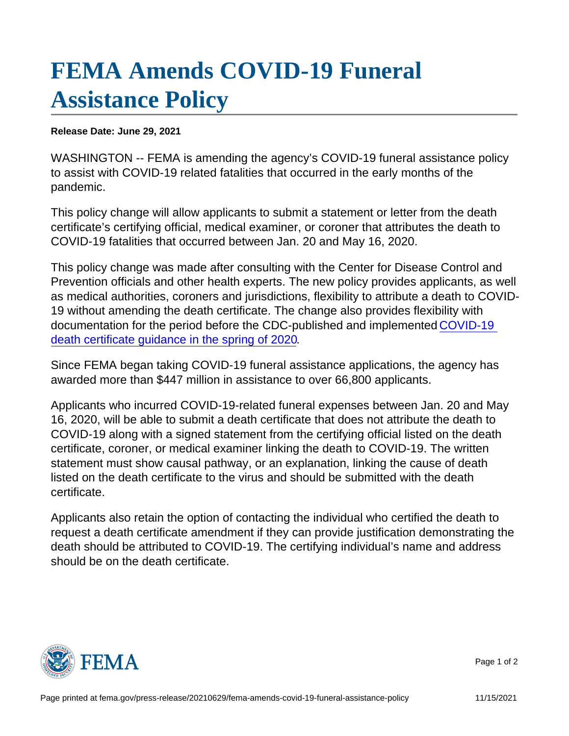## [FEMA Amends COVID-19 Funeral](https://www.fema.gov/press-release/20210629/fema-amends-covid-19-funeral-assistance-policy)  [Assistance Policy](https://www.fema.gov/press-release/20210629/fema-amends-covid-19-funeral-assistance-policy)

Release Date: June 29, 2021

WASHINGTON -- FEMA is amending the agency's COVID-19 funeral assistance policy to assist with COVID-19 related fatalities that occurred in the early months of the pandemic.

This policy change will allow applicants to submit a statement or letter from the death certificate's certifying official, medical examiner, or coroner that attributes the death to COVID-19 fatalities that occurred between Jan. 20 and May 16, 2020.

This policy change was made after consulting with the Center for Disease Control and Prevention officials and other health experts. The new policy provides applicants, as well as medical authorities, coroners and jurisdictions, flexibility to attribute a death to COVID-19 without amending the death certificate. The change also provides flexibility with documentation for the period before the CDC-published and implemented [COVID-19](https://www.cdc.gov/nchs/data/nvss/vsrg/vsrg03-508.pdf)  [death certificate guidance in the spring of 2020](https://www.cdc.gov/nchs/data/nvss/vsrg/vsrg03-508.pdf).

Since FEMA began taking COVID-19 funeral assistance applications, the agency has awarded more than \$447 million in assistance to over 66,800 applicants.

Applicants who incurred COVID-19-related funeral expenses between Jan. 20 and May 16, 2020, will be able to submit a death certificate that does not attribute the death to COVID-19 along with a signed statement from the certifying official listed on the death certificate, coroner, or medical examiner linking the death to COVID-19. The written statement must show causal pathway, or an explanation, linking the cause of death listed on the death certificate to the virus and should be submitted with the death certificate.

Applicants also retain the option of contacting the individual who certified the death to request a death certificate amendment if they can provide justification demonstrating the death should be attributed to COVID-19. The certifying individual's name and address should be on the death certificate.



Page 1 of 2